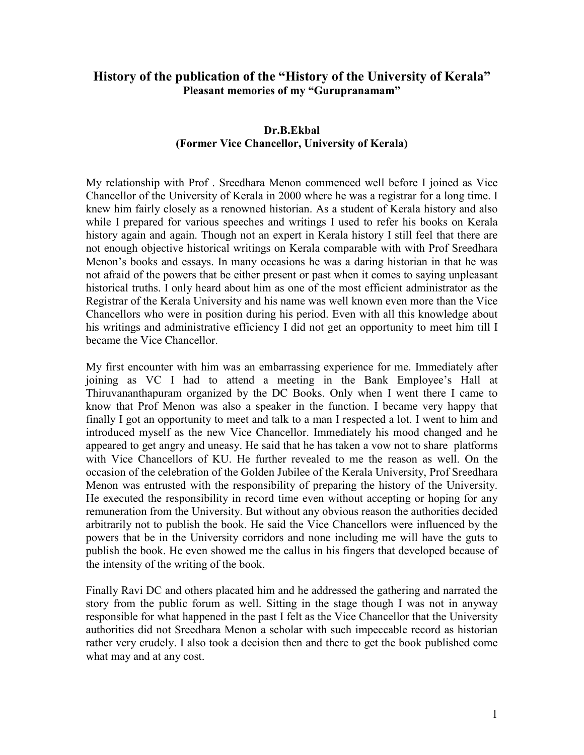## **History of the publication of the "History of the University of Kerala" Pleasant memories of my "Gurupranamam"**

## **Dr.B.Ekbal (Former Vice Chancellor, University of Kerala)**

My relationship with Prof . Sreedhara Menon commenced well before I joined as Vice Chancellor of the University of Kerala in 2000 where he was a registrar for a long time. I knew him fairly closely as a renowned historian. As a student of Kerala history and also while I prepared for various speeches and writings I used to refer his books on Kerala history again and again. Though not an expert in Kerala history I still feel that there are not enough objective historical writings on Kerala comparable with with Prof Sreedhara Menon's books and essays. In many occasions he was a daring historian in that he was not afraid of the powers that be either present or past when it comes to saying unpleasant historical truths. I only heard about him as one of the most efficient administrator as the Registrar of the Kerala University and his name was well known even more than the Vice Chancellors who were in position during his period. Even with all this knowledge about his writings and administrative efficiency I did not get an opportunity to meet him till I became the Vice Chancellor.

My first encounter with him was an embarrassing experience for me. Immediately after joining as VC I had to attend a meeting in the Bank Employee's Hall at Thiruvananthapuram organized by the DC Books. Only when I went there I came to know that Prof Menon was also a speaker in the function. I became very happy that finally I got an opportunity to meet and talk to a man I respected a lot. I went to him and introduced myself as the new Vice Chancellor. Immediately his mood changed and he appeared to get angry and uneasy. He said that he has taken a vow not to share platforms with Vice Chancellors of KU. He further revealed to me the reason as well. On the occasion of the celebration of the Golden Jubilee of the Kerala University, Prof Sreedhara Menon was entrusted with the responsibility of preparing the history of the University. He executed the responsibility in record time even without accepting or hoping for any remuneration from the University. But without any obvious reason the authorities decided arbitrarily not to publish the book. He said the Vice Chancellors were influenced by the powers that be in the University corridors and none including me will have the guts to publish the book. He even showed me the callus in his fingers that developed because of the intensity of the writing of the book.

Finally Ravi DC and others placated him and he addressed the gathering and narrated the story from the public forum as well. Sitting in the stage though I was not in anyway responsible for what happened in the past I felt as the Vice Chancellor that the University authorities did not Sreedhara Menon a scholar with such impeccable record as historian rather very crudely. I also took a decision then and there to get the book published come what may and at any cost.